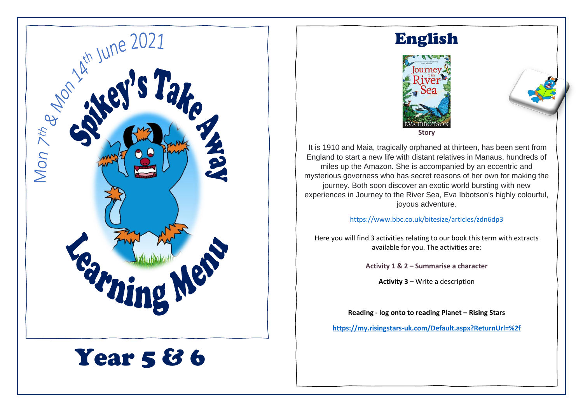

# **Year 5 & 6**

### English



**Story**

It is 1910 and Maia, tragically orphaned at thirteen, has been sent from England to start a new life with distant relatives in Manaus, hundreds of miles up the Amazon. She is accompanied by an eccentric and mysterious governess who has secret reasons of her own for making the journey. Both soon discover an exotic world bursting with new experiences in Journey to the River Sea, Eva Ibbotson's highly colourful, joyous adventure.

<https://www.bbc.co.uk/bitesize/articles/zdn6dp3>

Here you will find 3 activities relating to our book this term with extracts available for you. The activities are:

**Activity 1 & 2 – Summarise a character** 

**Activity 3 –** Write a description

**Reading - log onto to reading Planet – Rising Stars**

**<https://my.risingstars-uk.com/Default.aspx?ReturnUrl=%2f>**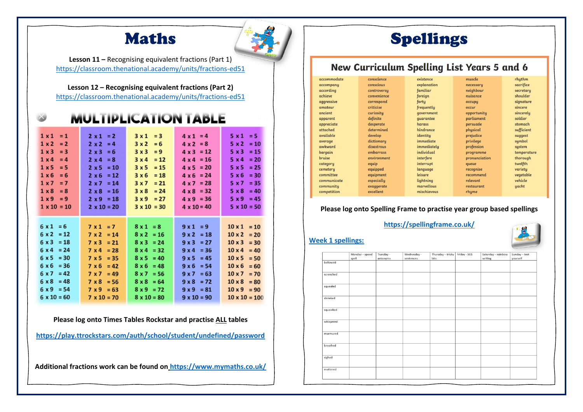### Maths



**Lesson 11 –** Recognising equivalent fractions (Part 1) <https://classroom.thenational.academy/units/fractions-ed51>

**Lesson 12 – Recognising equivalent fractions (Part 2)** 

<https://classroom.thenational.academy/units/fractions-ed51>

### **MULTIPLICATION TABLE**

| $1 \times 1 = 1$      | $2x1 = 2$          | $3x1 = 3$          | $4 \times 1 = 4$   | $5x1 = 5$              |
|-----------------------|--------------------|--------------------|--------------------|------------------------|
| $1 \times 2$<br>$= 2$ | $2 \times 2 = 4$   | $3x2 = 6$          | $4 \times 2 = 8$   | $5 \times 2 = 10$      |
| $1 \times 3$<br>$= 3$ | $2 x 3 = 6$        | $= 9$<br>3x3       | $4 \times 3 = 12$  | $5 \times 3$<br>$= 15$ |
| $1 \times 4$<br>$= 4$ | $2 \times 4 = 8$   | $= 12$<br>3x4      | $4 \times 4 = 16$  | $= 20$<br>$5 \times 4$ |
| 1 x 5<br>$= 5$        | $2 \times 5 = 10$  | $= 15$<br>3x5      | $4 \times 5 = 20$  | $= 25$<br>5 x 5        |
| 1 x 6<br>$= 6$        | $2 \times 6 = 12$  | $= 18$<br>3 × 6    | $4 \times 6 = 24$  | $= 30$<br>5 x 6        |
| 1x7<br>$=7$           | $2 x 7 = 14$       | $= 21$<br>3x7      | $4 \times 7 = 28$  | $= 35$<br>5 x 7        |
| $1 \times 8$<br>$= 8$ | $2 \times 8 = 16$  | $= 24$<br>3 × 8    | $4 \times 8 = 32$  | $= 40$<br>5 x 8        |
| $1 \times 9 = 9$      | $2 \times 9 = 18$  | $3x9 = 27$         | $4 \times 9 = 36$  | $5 \times 9 = 45$      |
| $1 \times 10 = 10$    | $2 \times 10 = 20$ | $3 \times 10 = 30$ | $4 \times 10 = 40$ | $5 \times 10 = 50$     |
|                       |                    |                    |                    |                        |
|                       |                    |                    |                    |                        |
| $6x1 = 6$             | $7 \times 1 = 7$   | $8x1 = 8$          | $9x1 = 9$          | $10 \times 1 = 10$     |
| $6 \times 2 = 12$     | $7 \times 2 = 14$  | $8 \times 2 = 16$  | $9 \times 2 = 18$  | $10 \times 2 = 20$     |
| $6 \times 3 = 18$     | $7 \times 3 = 21$  | $8 \times 3 = 24$  | $9x3 = 27$         | $10 \times 3 = 30$     |
| $6 \times 4 = 24$     | $7 \times 4 = 28$  | $8x4 = 32$         | $9x4 = 36$         | $10 \times 4 = 40$     |
| $6 \times 5 = 30$     | $7 \times 5 = 35$  | $8 \times 5 = 40$  | $9x5 = 45$         | $10 \times 5 = 50$     |
| $6 \times 6 = 36$     | $7 \times 6 = 42$  | $8 \times 6 = 48$  | $9 \times 6 = 54$  | $10 \times 6 = 60$     |
| $6 \times 7 = 42$     | $7 \times 7 = 49$  | $8 \times 7 = 56$  | $9x7 = 63$         | $10 \times 7 = 70$     |
| $6 \times 8 = 48$     |                    |                    | $9 \times 8 = 72$  | $10 \times 8 = 80$     |
|                       | $7 \times 8 = 56$  | $8 \times 8 = 64$  |                    |                        |
| $6 \times 9 = 54$     | $7 \times 9 = 63$  | $8 \times 9 = 72$  | $9 \times 9 = 81$  | $10 \times 9 = 90$     |
| $6 \times 10 = 60$    | $7 \times 10 = 70$ | $8 \times 10 = 80$ | $9 \times 10 = 90$ | $10 \times 10 = 100$   |

**Please log onto Times Tables Rockstar and practise ALL tables**

**<https://play.ttrockstars.com/auth/school/student/undefined/password>**

**Additional fractions work can be found on https://www.mymaths.co.uk/**



#### New Curriculum Spelling List Years 5 and 6

| accommodate | conscience  | existence   | muscle        | rhythm      |
|-------------|-------------|-------------|---------------|-------------|
| accompany   | conscious   | explanation | necessary     | sacrifice   |
| according   | controversy | familiar    | neighbour     | secretary   |
| achieve     | convenience | foreign     | nuisance      | shoulder    |
| aggressive  | correspond  | forty       | оссиру        | signature   |
| amateur     | criticise   | frequently  | occur         | sincere     |
| ancient     | curiositu   | government  | opportunity   | sincerely   |
| apparent    | definite    | quarantee   | parliament    | soldier     |
| appreciate  | desperate   | harass      | persuade      | stomach     |
| attached    | determined  | hindrance   | physical      | sufficient  |
| available   | develop     | identity    | prejudice     | suggest     |
| average     | dictionary  | immediate   | privilege     | symbol      |
| awkward     | disastrous  | immediately | profession    | system      |
| bargain     | embarrass   | individual  | programme     | temperature |
| bruise      | environment | interfere   | pronunciation | thorough    |
| category    | equip       | interrupt   | queue         | twelfth     |
| cemetery    | equipped    | language    | recognise     | variety     |
| committee   | equipment   | leisure     | recommend     | vegetable   |
| communicate | especially  | lightning   | relevant      | vehicle     |
| community   | exaggerate  | marvellous  | restaurant    | yacht       |
| competition | excellent   | mischievous | rhyme         |             |

#### **Please log onto Spelling Frame to practise year group based spellings**

#### **<https://spellingframe.co.uk/>**



|           | Monday - speed<br>spell | Tuesday -<br>antonyms | Wednesday -<br>sentences | Thursday - tricky<br>bits | Friday - SUS | Saturday - rainbow<br>writing | Sunday - test<br>yourself |
|-----------|-------------------------|-----------------------|--------------------------|---------------------------|--------------|-------------------------------|---------------------------|
| bellowed  |                         |                       |                          |                           |              |                               |                           |
| screeched |                         |                       |                          |                           |              |                               |                           |
| squealed  |                         |                       |                          |                           |              |                               |                           |
| shrieked  |                         |                       |                          |                           |              |                               |                           |
| squawked  |                         |                       |                          |                           |              |                               |                           |
| whispered |                         |                       |                          |                           |              |                               |                           |
| murmured  |                         |                       |                          |                           |              |                               |                           |
| breathed  |                         |                       |                          |                           |              |                               |                           |
| sighed    |                         |                       |                          |                           |              |                               |                           |
| muttered  |                         |                       |                          |                           |              |                               |                           |